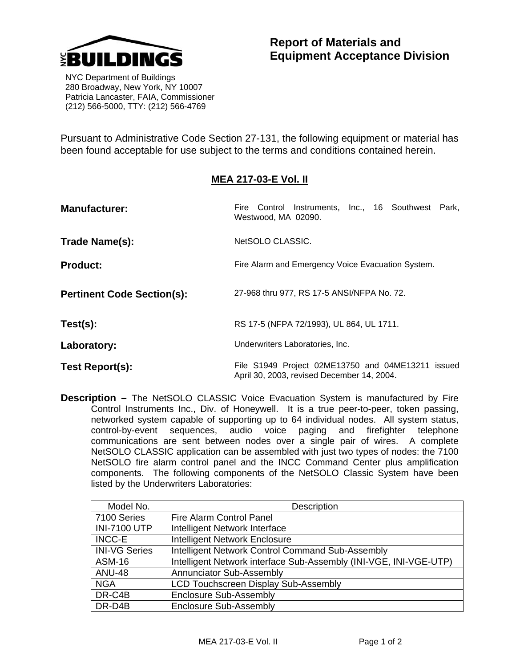

## **Report of Materials and Equipment Acceptance Division**

 NYC Department of Buildings 280 Broadway, New York, NY 10007 Patricia Lancaster, FAIA, Commissioner (212) 566-5000, TTY: (212) 566-4769

Pursuant to Administrative Code Section 27-131, the following equipment or material has been found acceptable for use subject to the terms and conditions contained herein.

## **MEA 217-03-E Vol. II**

| <b>Manufacturer:</b>              | Fire Control Instruments, Inc., 16 Southwest Park,<br>Westwood, MA 02090.                       |
|-----------------------------------|-------------------------------------------------------------------------------------------------|
| Trade Name(s):                    | NetSOLO CLASSIC.                                                                                |
| <b>Product:</b>                   | Fire Alarm and Emergency Voice Evacuation System.                                               |
| <b>Pertinent Code Section(s):</b> | 27-968 thru 977, RS 17-5 ANSI/NFPA No. 72.                                                      |
| Test(s):                          | RS 17-5 (NFPA 72/1993), UL 864, UL 1711.                                                        |
| Laboratory:                       | Underwriters Laboratories, Inc.                                                                 |
| Test Report(s):                   | File S1949 Project 02ME13750 and 04ME13211 issued<br>April 30, 2003, revised December 14, 2004. |

**Description –** The NetSOLO CLASSIC Voice Evacuation System is manufactured by Fire Control Instruments Inc., Div. of Honeywell. It is a true peer-to-peer, token passing, networked system capable of supporting up to 64 individual nodes. All system status, control-by-event sequences, audio voice paging and firefighter telephone communications are sent between nodes over a single pair of wires. A complete NetSOLO CLASSIC application can be assembled with just two types of nodes: the 7100 NetSOLO fire alarm control panel and the INCC Command Center plus amplification components. The following components of the NetSOLO Classic System have been listed by the Underwriters Laboratories:

| Model No.            | Description                                                       |
|----------------------|-------------------------------------------------------------------|
| 7100 Series          | Fire Alarm Control Panel                                          |
| <b>INI-7100 UTP</b>  | Intelligent Network Interface                                     |
| <b>INCC-E</b>        | <b>Intelligent Network Enclosure</b>                              |
| <b>INI-VG Series</b> | Intelligent Network Control Command Sub-Assembly                  |
| <b>ASM-16</b>        | Intelligent Network interface Sub-Assembly (INI-VGE, INI-VGE-UTP) |
| <b>ANU-48</b>        | Annunciator Sub-Assembly                                          |
| <b>NGA</b>           | <b>LCD Touchscreen Display Sub-Assembly</b>                       |
| DR-C4B               | Enclosure Sub-Assembly                                            |
| DR-D4B               | Enclosure Sub-Assembly                                            |